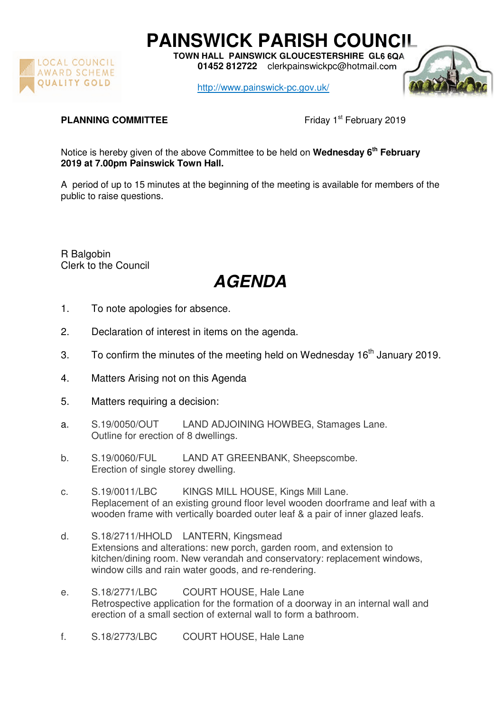

**PAINSWICK PARISH COUNCIL** 

**TOWN HALL PAINSWICK GLOUCESTERSHIRE GL6 6QA 01452 812722** clerkpainswickpc@hotmail.com

http://www.painswick-pc.gov.uk/



## **PLANNING COMMITTEE** Friday 1<sup>st</sup> February 2019

Notice is hereby given of the above Committee to be held on **Wednesday 6th February 2019 at 7.00pm Painswick Town Hall.** 

A period of up to 15 minutes at the beginning of the meeting is available for members of the public to raise questions.

R Balgobin Clerk to the Council

## **AGENDA**

- 1. To note apologies for absence.
- 2. Declaration of interest in items on the agenda.
- 3. To confirm the minutes of the meeting held on Wednesday  $16<sup>th</sup>$  January 2019.
- 4. Matters Arising not on this Agenda
- 5. Matters requiring a decision:
- a. S.19/0050/OUT LAND ADJOINING HOWBEG, Stamages Lane. Outline for erection of 8 dwellings.
- b. S.19/0060/FUL LAND AT GREENBANK, Sheepscombe. Erection of single storey dwelling.
- c. S.19/0011/LBC KINGS MILL HOUSE, Kings Mill Lane. Replacement of an existing ground floor level wooden doorframe and leaf with a wooden frame with vertically boarded outer leaf & a pair of inner glazed leafs.
- d. S.18/2711/HHOLD LANTERN, Kingsmead Extensions and alterations: new porch, garden room, and extension to kitchen/dining room. New verandah and conservatory: replacement windows, window cills and rain water goods, and re-rendering.
- e. S.18/2771/LBC COURT HOUSE, Hale Lane Retrospective application for the formation of a doorway in an internal wall and erection of a small section of external wall to form a bathroom.
- f. S.18/2773/LBC COURT HOUSE, Hale Lane